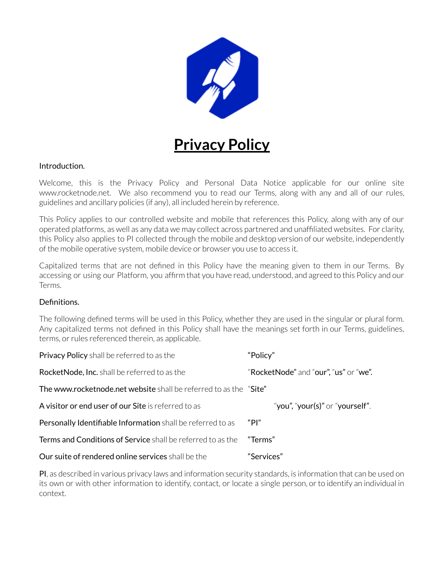

# **Privacy Policy**

### Introduction.

Welcome, this is the Privacy Policy and Personal Data Notice applicable for our online site www.rocketnode.net. We also recommend you to read our Terms, along with any and all of our rules, guidelines and ancillary policies (if any), all included herein by reference.

This Policy applies to our controlled website and mobile that references this Policy, along with any of our operated platforms, as well as any data we may collect across partnered and unaffiliated websites. For clarity, this Policy also applies to PI collected through the mobile and desktop version of our website, independently of the mobile operative system, mobile device or browser you use to access it.

Capitalized terms that are not defined in this Policy have the meaning given to them in our Terms. By accessing or using our Platform, you affirm that you have read, understood, and agreed to this Policy and our Terms.

#### Definitions.

The following defined terms will be used in this Policy, whether they are used in the singular or plural form. Any capitalized terms not defined in this Policy shall have the meanings set forth in our Terms, guidelines, terms, or rules referenced therein, as applicable.

| <b>Privacy Policy</b> shall be referred to as the                  | "Policy"                              |
|--------------------------------------------------------------------|---------------------------------------|
| <b>RocketNode, Inc.</b> shall be referred to as the                | "RocketNode" and "our", "us" or "we". |
| The www.rocketnode.net website shall be referred to as the "Site"  |                                       |
| A visitor or end user of our Site is referred to as                | "you", "your(s)" or "yourself".       |
| Personally Identifiable Information shall be referred to as        | "Pl"                                  |
| <b>Terms and Conditions of Service</b> shall be referred to as the | "Terms"                               |
| Our suite of rendered online services shall be the                 | "Services"                            |

PI, as described in various privacy laws and information security standards, is information that can be used on its own or with other information to identify, contact, or locate a single person, orto identify an individual in context.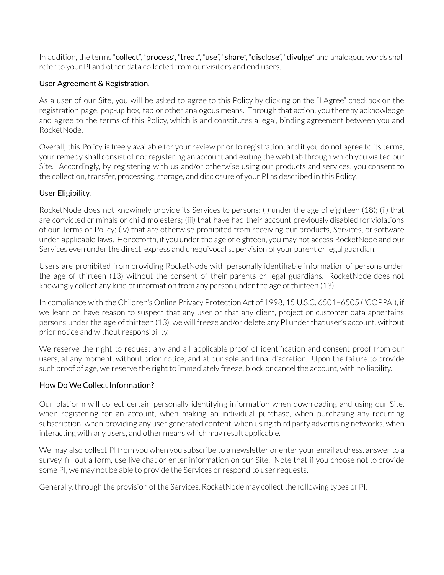In addition, the terms "collect", "process", "treat", "use", "share", "disclose", "divulge" and analogous words shall refer to your PI and other data collected from our visitors and end users.

### User Agreement & Registration.

As a user of our Site, you will be asked to agree to this Policy by clicking on the "I Agree" checkbox on the registration page, pop-up box, tab or other analogous means. Through that action, you thereby acknowledge and agree to the terms of this Policy, which is and constitutes a legal, binding agreement between you and RocketNode.

Overall, this Policy is freely available for your review prior to registration, and if you do not agree to its terms, your remedy shall consist of not registering an account and exiting the web tab through which you visited our Site. Accordingly, by registering with us and/or otherwise using our products and services, you consent to the collection, transfer, processing, storage, and disclosure of your PI as described in this Policy.

### User Eligibility.

RocketNode does not knowingly provide its Services to persons: (i) under the age of eighteen (18); (ii) that are convicted criminals or child molesters; (iii) that have had their account previously disabled for violations of our Terms or Policy; (iv) that are otherwise prohibited from receiving our products, Services, or software under applicable laws. Henceforth, if you under the age of eighteen, you may not access RocketNode and our Services even under the direct, express and unequivocal supervision of your parent or legal guardian.

Users are prohibited from providing RocketNode with personally identifiable information of persons under the age of thirteen (13) without the consent of their parents or legal guardians. RocketNode does not knowingly collect any kind of information from any person under the age of thirteen (13).

In compliance with the Children's Online Privacy Protection Act of 1998, 15 U.S.C. 6501–6505 ("COPPA"), if we learn or have reason to suspect that any user or that any client, project or customer data appertains persons under the age of thirteen (13), we will freeze and/or delete any PI under that user's account, without prior notice and without responsibility.

We reserve the right to request any and all applicable proof of identification and consent proof from our users, at any moment, without prior notice, and at our sole and final discretion. Upon the failure to provide such proof of age, we reserve the right to immediately freeze, block or cancel the account, with no liability.

#### How Do We Collect Information?

Our platform will collect certain personally identifying information when downloading and using our Site, when registering for an account, when making an individual purchase, when purchasing any recurring subscription, when providing any user generated content, when using third party advertising networks, when interacting with any users, and other means which may result applicable.

We may also collect PI from you when you subscribe to a newsletter or enter your email address, answer to a survey, fill out a form, use live chat or enter information on our Site. Note that if you choose not to provide some PI, we may not be able to provide the Services or respond to user requests.

Generally, through the provision of the Services, RocketNode may collect the following types of PI: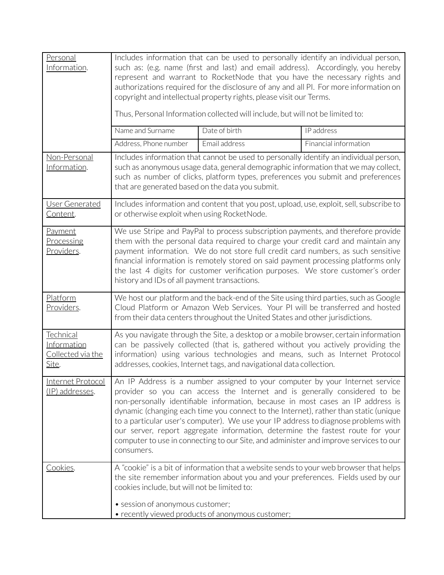| Personal<br>Information.                                       | Includes information that can be used to personally identify an individual person,<br>such as: (e.g. name (first and last) and email address). Accordingly, you hereby<br>represent and warrant to RocketNode that you have the necessary rights and<br>authorizations required for the disclosure of any and all PI. For more information on<br>copyright and intellectual property rights, please visit our Terms.<br>Thus, Personal Information collected will include, but will not be limited to:                                                                                                              |               |                                                                                          |
|----------------------------------------------------------------|---------------------------------------------------------------------------------------------------------------------------------------------------------------------------------------------------------------------------------------------------------------------------------------------------------------------------------------------------------------------------------------------------------------------------------------------------------------------------------------------------------------------------------------------------------------------------------------------------------------------|---------------|------------------------------------------------------------------------------------------|
|                                                                | Name and Surname                                                                                                                                                                                                                                                                                                                                                                                                                                                                                                                                                                                                    | Date of birth | IP address                                                                               |
|                                                                | Address, Phone number                                                                                                                                                                                                                                                                                                                                                                                                                                                                                                                                                                                               | Email address | Financial information                                                                    |
| Non-Personal<br>Information.                                   | Includes information that cannot be used to personally identify an individual person,<br>such as anonymous usage data, general demographic information that we may collect,<br>such as number of clicks, platform types, preferences you submit and preferences<br>that are generated based on the data you submit.                                                                                                                                                                                                                                                                                                 |               |                                                                                          |
| User Generated<br>Content.                                     | or otherwise exploit when using RocketNode.                                                                                                                                                                                                                                                                                                                                                                                                                                                                                                                                                                         |               | Includes information and content that you post, upload, use, exploit, sell, subscribe to |
| Payment<br>Processing<br><u>Providers</u> .                    | We use Stripe and PayPal to process subscription payments, and therefore provide<br>them with the personal data required to charge your credit card and maintain any<br>payment information. We do not store full credit card numbers, as such sensitive<br>financial information is remotely stored on said payment processing platforms only<br>the last 4 digits for customer verification purposes. We store customer's order<br>history and IDs of all payment transactions.                                                                                                                                   |               |                                                                                          |
| Platform<br>Providers.                                         | We host our platform and the back-end of the Site using third parties, such as Google<br>Cloud Platform or Amazon Web Services. Your PI will be transferred and hosted<br>from their data centers throughout the United States and other jurisdictions.                                                                                                                                                                                                                                                                                                                                                             |               |                                                                                          |
| Technical<br>Information<br>Collected via the<br><u>Site</u> . | As you navigate through the Site, a desktop or a mobile browser, certain information<br>can be passively collected (that is, gathered without you actively providing the<br>information) using various technologies and means, such as Internet Protocol<br>addresses, cookies, Internet tags, and navigational data collection.                                                                                                                                                                                                                                                                                    |               |                                                                                          |
| Internet Protocol<br><u>(IP) addresses</u> .                   | An IP Address is a number assigned to your computer by your Internet service<br>provider so you can access the Internet and is generally considered to be<br>non-personally identifiable information, because in most cases an IP address is<br>dynamic (changing each time you connect to the Internet), rather than static (unique<br>to a particular user's computer). We use your IP address to diagnose problems with<br>our server, report aggregate information, determine the fastest route for your<br>computer to use in connecting to our Site, and administer and improve services to our<br>consumers. |               |                                                                                          |
| Cookies.                                                       | A "cookie" is a bit of information that a website sends to your web browser that helps<br>the site remember information about you and your preferences. Fields used by our<br>cookies include, but will not be limited to:<br>• session of anonymous customer;<br>• recently viewed products of anonymous customer;                                                                                                                                                                                                                                                                                                 |               |                                                                                          |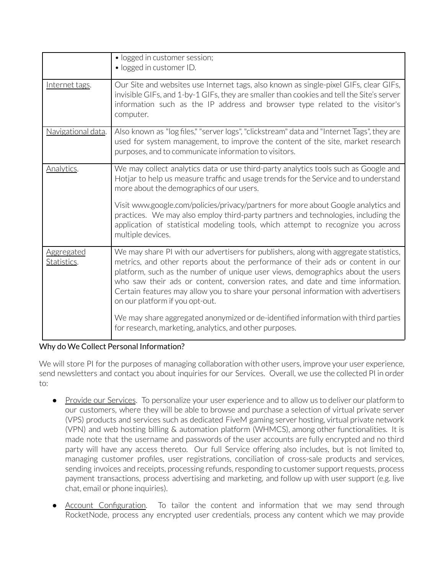|                                  | · logged in customer session;<br>• logged in customer ID.                                                                                                                                                                                                                                                                                                                                                                                                              |
|----------------------------------|------------------------------------------------------------------------------------------------------------------------------------------------------------------------------------------------------------------------------------------------------------------------------------------------------------------------------------------------------------------------------------------------------------------------------------------------------------------------|
| Internet tags.                   | Our Site and websites use Internet tags, also known as single-pixel GIFs, clear GIFs,<br>invisible GIFs, and 1-by-1 GIFs, they are smaller than cookies and tell the Site's server<br>information such as the IP address and browser type related to the visitor's<br>computer.                                                                                                                                                                                        |
| Navigational data.               | Also known as "log files," "server logs", "clickstream" data and "Internet Tags", they are<br>used for system management, to improve the content of the site, market research<br>purposes, and to communicate information to visitors.                                                                                                                                                                                                                                 |
| Analytics.                       | We may collect analytics data or use third-party analytics tools such as Google and<br>Hotjar to help us measure traffic and usage trends for the Service and to understand<br>more about the demographics of our users.                                                                                                                                                                                                                                               |
|                                  | Visit www.google.com/policies/privacy/partners for more about Google analytics and<br>practices. We may also employ third-party partners and technologies, including the<br>application of statistical modeling tools, which attempt to recognize you across<br>multiple devices.                                                                                                                                                                                      |
| <b>Aggregated</b><br>Statistics. | We may share PI with our advertisers for publishers, along with aggregate statistics,<br>metrics, and other reports about the performance of their ads or content in our<br>platform, such as the number of unique user views, demographics about the users<br>who saw their ads or content, conversion rates, and date and time information.<br>Certain features may allow you to share your personal information with advertisers<br>on our platform if you opt-out. |
|                                  | We may share aggregated anonymized or de-identified information with third parties<br>for research, marketing, analytics, and other purposes.                                                                                                                                                                                                                                                                                                                          |

# Why do We Collect Personal Information?

We will store PI for the purposes of managing collaboration with other users, improve your user experience, send newsletters and contact you about inquiries for our Services. Overall, we use the collected PI in order to:

- Provide our Services. To personalize your user experience and to allow us to deliver our platform to our customers, where they will be able to browse and purchase a selection of virtual private server (VPS) products and services such as dedicated FiveM gaming server hosting, virtual private network (VPN) and web hosting billing & automation platform (WHMCS), among other functionalities. It is made note that the username and passwords of the user accounts are fully encrypted and no third party will have any access thereto. Our full Service offering also includes, but is not limited to, managing customer profiles, user registrations, conciliation of cross-sale products and services, sending invoices and receipts, processing refunds, responding to customer support requests, process payment transactions, process advertising and marketing, and follow up with user support (e.g. live chat, email or phone inquiries).
- Account Configuration. To tailor the content and information that we may send through RocketNode, process any encrypted user credentials, process any content which we may provide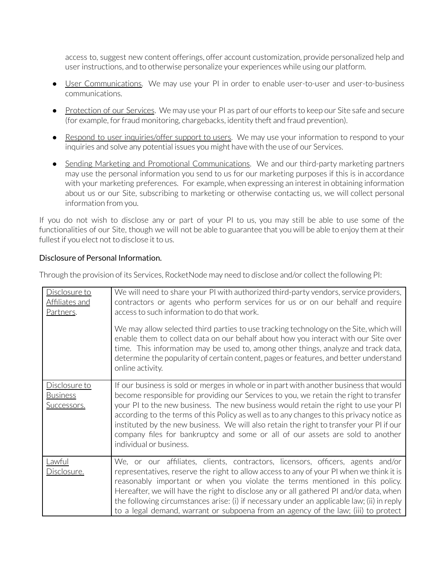access to, suggest new content offerings, offer account customization, provide personalized help and userinstructions, and to otherwise personalize your experiences while using our platform.

- User Communications. We may use your PI in order to enable user-to-user and user-to-business communications.
- Protection of our Services. We may use your PI as part of our efforts to keep our Site safe and secure (for example, for fraud monitoring, chargebacks, identity theft and fraud prevention).
- Respond to user inquiries/offer support to users. We may use your information to respond to your inquiries and solve any potential issues you might have with the use of our Services.
- Sending Marketing and Promotional Communications. We and our third-party marketing partners may use the personal information you send to us for our marketing purposes if this is in accordance with your marketing preferences. For example, when expressing an interest in obtaining information about us or our Site, subscribing to marketing or otherwise contacting us, we will collect personal information from you.

If you do not wish to disclose any or part of your PI to us, you may still be able to use some of the functionalities of our Site, though we will not be able to guarantee that you will be able to enjoy them at their fullest if you elect not to disclose it to us.

# Disclosure of Personal Information.

Through the provision of its Services, RocketNode may need to disclose and/or collect the following PI:

| Disclosure to<br>Affiliates and<br>Partners.    | We will need to share your PI with authorized third-party vendors, service providers,<br>contractors or agents who perform services for us or on our behalf and require<br>access to such information to do that work.<br>We may allow selected third parties to use tracking technology on the Site, which will<br>enable them to collect data on our behalf about how you interact with our Site over<br>time. This information may be used to, among other things, analyze and track data,<br>determine the popularity of certain content, pages or features, and better understand<br>online activity. |
|-------------------------------------------------|------------------------------------------------------------------------------------------------------------------------------------------------------------------------------------------------------------------------------------------------------------------------------------------------------------------------------------------------------------------------------------------------------------------------------------------------------------------------------------------------------------------------------------------------------------------------------------------------------------|
| Disclosure to<br><b>Business</b><br>Successors. | If our business is sold or merges in whole or in part with another business that would<br>become responsible for providing our Services to you, we retain the right to transfer<br>your PI to the new business. The new business would retain the right to use your PI<br>according to the terms of this Policy as well as to any changes to this privacy notice as<br>instituted by the new business. We will also retain the right to transfer your PI if our<br>company files for bankruptcy and some or all of our assets are sold to another<br>individual or business.                               |
| Lawful<br>Disclosure.                           | We, or our affiliates, clients, contractors, licensors, officers, agents and/or<br>representatives, reserve the right to allow access to any of your PI when we think it is<br>reasonably important or when you violate the terms mentioned in this policy.<br>Hereafter, we will have the right to disclose any or all gathered PI and/or data, when<br>the following circumstances arise: (i) if necessary under an applicable law; (ii) in reply<br>to a legal demand, warrant or subpoena from an agency of the law; (iii) to protect                                                                  |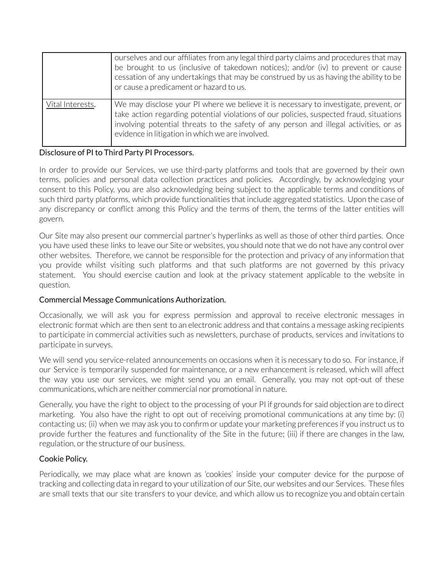|                  | ourselves and our affiliates from any legal third party claims and procedures that may<br>be brought to us (inclusive of takedown notices); and/or (iv) to prevent or cause<br>cessation of any undertakings that may be construed by us as having the ability to be<br>or cause a predicament or hazard to us.              |
|------------------|------------------------------------------------------------------------------------------------------------------------------------------------------------------------------------------------------------------------------------------------------------------------------------------------------------------------------|
| Vital Interests. | We may disclose your PI where we believe it is necessary to investigate, prevent, or<br>take action regarding potential violations of our policies, suspected fraud, situations<br>involving potential threats to the safety of any person and illegal activities, or as<br>evidence in litigation in which we are involved. |

#### Disclosure of PI to Third Party PI Processors.

In order to provide our Services, we use third-party platforms and tools that are governed by their own terms, policies and personal data collection practices and policies. Accordingly, by acknowledging your consent to this Policy, you are also acknowledging being subject to the applicable terms and conditions of such third party platforms, which provide functionalities that include aggregated statistics. Upon the case of any discrepancy or conflict among this Policy and the terms of them, the terms of the latter entities will govern.

Our Site may also present our commercial partner's hyperlinks as well as those of other third parties. Once you have used these links to leave our Site or websites, you should note that we do not have any control over other websites. Therefore, we cannot be responsible for the protection and privacy of any information that you provide whilst visiting such platforms and that such platforms are not governed by this privacy statement. You should exercise caution and look at the privacy statement applicable to the website in question.

# Commercial Message Communications Authorization.

Occasionally, we will ask you for express permission and approval to receive electronic messages in electronic format which are then sent to an electronic address and that contains a message asking recipients to participate in commercial activities such as newsletters, purchase of products, services and invitations to participate in surveys.

We will send you service-related announcements on occasions when it is necessary to do so. For instance, if our Service is temporarily suspended for maintenance, or a new enhancement is released, which will affect the way you use our services, we might send you an email. Generally, you may not opt-out of these communications, which are neither commercial nor promotional in nature.

Generally, you have the right to object to the processing of your PI if grounds for said objection are to direct marketing. You also have the right to opt out of receiving promotional communications at any time by: (i) contacting us; (ii) when we may ask you to confirm or update your marketing preferences if you instruct us to provide further the features and functionality of the Site in the future; (iii) if there are changes in the law, regulation, or the structure of our business.

# Cookie Policy.

Periodically, we may place what are known as 'cookies' inside your computer device for the purpose of tracking and collecting data in regard to your utilization of our Site, our websites and our Services. These files are small texts that our site transfers to your device, and which allow us to recognize you and obtain certain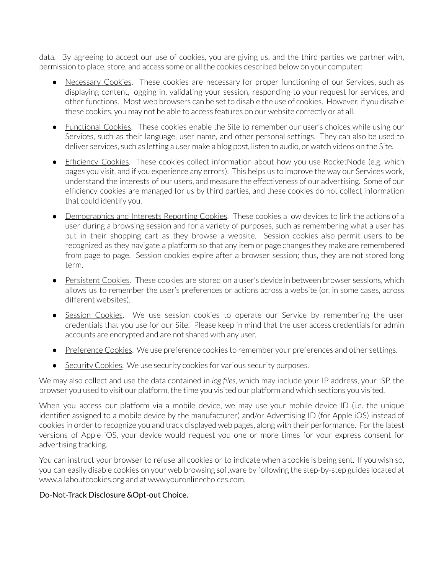data. By agreeing to accept our use of cookies, you are giving us, and the third parties we partner with, permission to place, store, and access some or all the cookies described below on your computer:

- Necessary Cookies. These cookies are necessary for proper functioning of our Services, such as displaying content, logging in, validating your session, responding to your request for services, and other functions. Most web browsers can be set to disable the use of cookies. However, if you disable these cookies, you may not be able to access features on our website correctly or at all.
- Functional Cookies. These cookies enable the Site to remember our user's choices while using our Services, such as their language, user name, and other personal settings. They can also be used to deliver services, such as letting a user make a blog post, listen to audio, or watch videos on the Site.
- Efficiency Cookies. These cookies collect information about how you use RocketNode (e.g. which pages you visit, and if you experience any errors). This helps us to improve the way our Services work, understand the interests of our users, and measure the effectiveness of our advertising. Some of our efficiency cookies are managed for us by third parties, and these cookies do not collect information that could identify you.
- Demographics and Interests Reporting Cookies. These cookies allow devices to link the actions of a user during a browsing session and for a variety of purposes, such as remembering what a user has put in their shopping cart as they browse a website. Session cookies also permit users to be recognized as they navigate a platform so that any item or page changes they make are remembered from page to page. Session cookies expire after a browser session; thus, they are not stored long term.
- Persistent Cookies. These cookies are stored on a user's device in between browser sessions, which allows us to remember the user's preferences or actions across a website (or, in some cases, across different websites).
- Session Cookies. We use session cookies to operate our Service by remembering the user credentials that you use for our Site. Please keep in mind that the user access credentials for admin accounts are encrypted and are not shared with any user.
- Preference Cookies. We use preference cookies to remember your preferences and other settings.
- Security Cookies. We use security cookies for various security purposes.

We may also collect and use the data contained in *log files*, which may include your IP address, your ISP, the browser you used to visit our platform, the time you visited our platform and which sections you visited.

When you access our platform via a mobile device, we may use your mobile device ID (i.e. the unique identifier assigned to a mobile device by the manufacturer) and/or Advertising ID (for Apple iOS) instead of cookies in order to recognize you and track displayed web pages, along with their performance. For the latest versions of Apple iOS, your device would request you one or more times for your express consent for advertising tracking.

You can instruct your browser to refuse all cookies or to indicate when a cookie is being sent. If you wish so, you can easily disable cookies on your web browsing software by following the step-by-step guides located at www.allaboutcookies.org and at www.youronlinechoices.com.

# Do-Not-Track Disclosure &Opt-out Choice.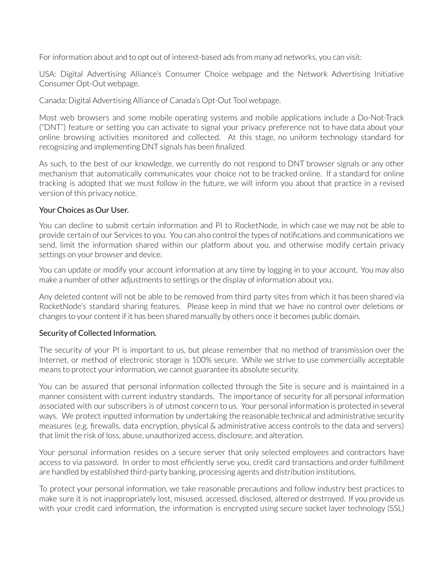For information about and to opt out of interest-based ads from many ad networks, you can visit:

USA: Digital Advertising Alliance's Consumer Choice webpage and the Network Advertising Initiative Consumer Opt-Out webpage.

Canada: Digital Advertising Alliance of Canada's Opt-Out Tool webpage.

Most web browsers and some mobile operating systems and mobile applications include a Do-Not-Track ("DNT") feature or setting you can activate to signal your privacy preference not to have data about your online browsing activities monitored and collected. At this stage, no uniform technology standard for recognizing and implementing DNT signals has been finalized.

As such, to the best of our knowledge, we currently do not respond to DNT browser signals or any other mechanism that automatically communicates your choice not to be tracked online. If a standard for online tracking is adopted that we must follow in the future, we will inform you about that practice in a revised version of this privacy notice.

### Your Choices as Our User.

You can decline to submit certain information and PI to RocketNode, in which case we may not be able to provide certain of our Services to you. You can also control the types of notifications and communications we send, limit the information shared within our platform about you, and otherwise modify certain privacy settings on your browser and device.

You can update or modify your account information at any time by logging in to your account. You may also make a number of other adjustments to settings or the display of information about you.

Any deleted content will not be able to be removed from third party sites from which it has been shared via RocketNode's standard sharing features. Please keep in mind that we have no control over deletions or changes to your content if it has been shared manually by others once it becomes public domain.

#### Security of Collected Information.

The security of your PI is important to us, but please remember that no method of transmission over the Internet, or method of electronic storage is 100% secure. While we strive to use commercially acceptable means to protect your information, we cannot guarantee its absolute security.

You can be assured that personal information collected through the Site is secure and is maintained in a manner consistent with current industry standards. The importance of security for all personal information associated with our subscribers is of utmost concern to us. Your personal information is protected in several ways. We protect inputted information by undertaking the reasonable technical and administrative security measures (e.g. firewalls, data encryption, physical & administrative access controls to the data and servers) that limit the risk of loss, abuse, unauthorized access, disclosure, and alteration.

Your personal information resides on a secure server that only selected employees and contractors have access to via password. In order to most efficiently serve you, credit card transactions and order fulfillment are handled by established third-party banking, processing agents and distribution institutions.

To protect your personal information, we take reasonable precautions and follow industry best practices to make sure it is not inappropriately lost, misused, accessed, disclosed, altered or destroyed. If you provide us with your credit card information, the information is encrypted using secure socket layer technology (SSL)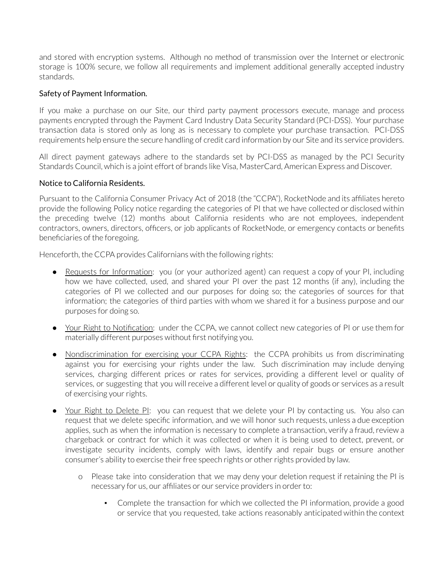and stored with encryption systems. Although no method of transmission over the Internet or electronic storage is 100% secure, we follow all requirements and implement additional generally accepted industry standards.

## Safety of Payment Information.

If you make a purchase on our Site, our third party payment processors execute, manage and process payments encrypted through the Payment Card Industry Data Security Standard (PCI-DSS). Your purchase transaction data is stored only as long as is necessary to complete your purchase transaction. PCI-DSS requirements help ensure the secure handling of credit card information by our Site and its service providers.

All direct payment gateways adhere to the standards set by PCI-DSS as managed by the PCI Security Standards Council, which is a joint effort of brands like Visa, MasterCard, American Express and Discover.

### Notice to California Residents.

Pursuant to the California Consumer Privacy Act of 2018 (the "CCPA"), RocketNode and its affiliates hereto provide the following Policy notice regarding the categories of PI that we have collected or disclosed within the preceding twelve (12) months about California residents who are not employees, independent contractors, owners, directors, officers, or job applicants of RocketNode, or emergency contacts or benefits beneficiaries of the foregoing.

Henceforth, the CCPA provides Californians with the following rights:

- Requests for Information: you (or your authorized agent) can request a copy of your PI, including how we have collected, used, and shared your PI over the past 12 months (if any), including the categories of PI we collected and our purposes for doing so; the categories of sources for that information; the categories of third parties with whom we shared it for a business purpose and our purposes for doing so.
- Your Right to Notification: under the CCPA, we cannot collect new categories of PI or use them for materially different purposes without first notifying you.
- Nondiscrimination for exercising your CCPA Rights: the CCPA prohibits us from discriminating against you for exercising your rights under the law. Such discrimination may include denying services, charging different prices or rates for services, providing a different level or quality of services, or suggesting that you will receive a different level or quality of goods or services as a result of exercising your rights.
- Your Right to Delete Pl: you can request that we delete your PI by contacting us. You also can request that we delete specific information, and we will honor such requests, unless a due exception applies, such as when the information is necessary to complete a transaction, verify a fraud, review a chargeback or contract for which it was collected or when it is being used to detect, prevent, or investigate security incidents, comply with laws, identify and repair bugs or ensure another consumer's ability to exercise their free speech rights or other rights provided by law.
	- o Please take into consideration that we may deny your deletion request if retaining the PI is necessary for us, our affiliates or our service providers in order to:
		- Complete the transaction for which we collected the PI information, provide a good or service that you requested, take actions reasonably anticipated within the context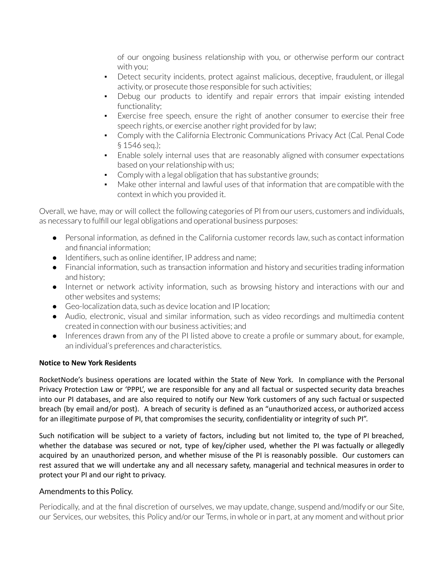of our ongoing business relationship with you, or otherwise perform our contract with you;

- Detect security incidents, protect against malicious, deceptive, fraudulent, or illegal activity, or prosecute those responsible for such activities;
- Debug our products to identify and repair errors that impair existing intended functionality;
- Exercise free speech, ensure the right of another consumer to exercise their free speech rights, or exercise another right provided for by law;
- **Comply with the California Electronic Communications Privacy Act (Cal. Penal Code** § 1546 seq.);
- Enable solely internal uses that are reasonably aligned with consumer expectations based on your relationship with us;
- Comply with a legal obligation that has substantive grounds;
- Make other internal and lawful uses of that information that are compatible with the context in which you provided it.

Overall, we have, may or will collect the following categories of PI from our users, customers and individuals, as necessary to fulfill our legal obligations and operational business purposes:

- Personal information, as defined in the California customer records law, such as contact information and financial information;
- Identifiers, such as online identifier, IP address and name;
- Financial information, such as transaction information and history and securities trading information and history;
- Internet or network activity information, such as browsing history and interactions with our and other websites and systems;
- Geo-localization data, such as device location and IP location;
- Audio, electronic, visual and similar information, such as video recordings and multimedia content created in connection with our business activities; and
- Inferences drawn from any of the PI listed above to create a profile or summary about, for example, an individual's preferences and characteristics.

# **Notice to New York Residents**

RocketNode's business operations are located within the State of New York. In compliance with the Personal Privacy Protection Law or 'PPPL', we are responsible for any and all factual or suspected security data breaches into our PI databases, and are also required to notify our New York customers of any such factual or suspected breach (by email and/or post). A breach of security is defined as an "unauthorized access, or authorized access for an illegitimate purpose of PI, that compromises the security, confidentiality or integrity of such PI".

Such notification will be subject to a variety of factors, including but not limited to, the type of PI breached, whether the database was secured or not, type of key/cipher used, whether the PI was factually or allegedly acquired by an unauthorized person, and whether misuse of the PI is reasonably possible. Our customers can rest assured that we will undertake any and all necessary safety, managerial and technical measures in order to protect your PI and our right to privacy.

# Amendments to this Policy.

Periodically, and at the final discretion of ourselves, we may update, change, suspend and/modify or our Site, our Services, our websites, this Policy and/or our Terms, in whole orin part, at any moment and without prior